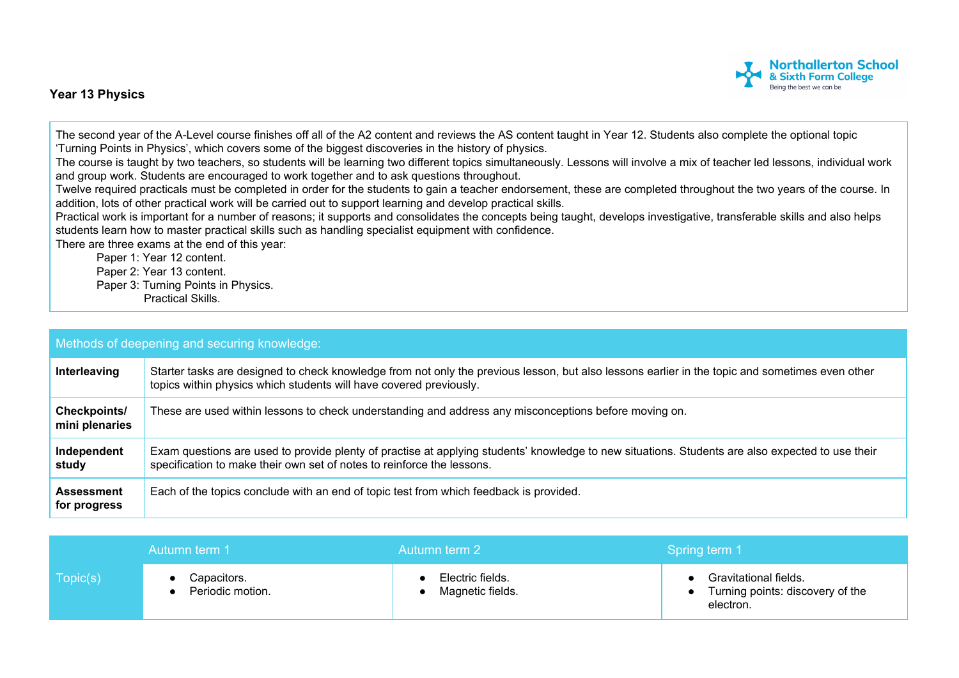## **Year 13 Physics**



The second year of the A-Level course finishes off all of the A2 content and reviews the AS content taught in Year 12. Students also complete the optional topic 'Turning Points in Physics', which covers some of the biggest discoveries in the history of physics.

The course is taught by two teachers, so students will be learning two different topics simultaneously. Lessons will involve a mix of teacher led lessons, individual work and group work. Students are encouraged to work together and to ask questions throughout.

Twelve required practicals must be completed in order for the students to gain a teacher endorsement, these are completed throughout the two years of the course. In addition, lots of other practical work will be carried out to support learning and develop practical skills.

Practical work is important for a number of reasons; it supports and consolidates the concepts being taught, develops investigative, transferable skills and also helps students learn how to master practical skills such as handling specialist equipment with confidence.

There are three exams at the end of this year:

Paper 1: Year 12 content. Paper 2: Year 13 content. Paper 3: Turning Points in Physics. Practical Skills.

| Methods of deepening and securing knowledge: |                                                                                                                                                                                                                            |  |  |  |
|----------------------------------------------|----------------------------------------------------------------------------------------------------------------------------------------------------------------------------------------------------------------------------|--|--|--|
| Interleaving                                 | Starter tasks are designed to check knowledge from not only the previous lesson, but also lessons earlier in the topic and sometimes even other<br>topics within physics which students will have covered previously.      |  |  |  |
| Checkpoints/<br>mini plenaries               | These are used within lessons to check understanding and address any misconceptions before moving on.                                                                                                                      |  |  |  |
| Independent<br>study                         | Exam questions are used to provide plenty of practise at applying students' knowledge to new situations. Students are also expected to use their<br>specification to make their own set of notes to reinforce the lessons. |  |  |  |
| <b>Assessment</b><br>for progress            | Each of the topics conclude with an end of topic test from which feedback is provided.                                                                                                                                     |  |  |  |

|          | Autumn term 1                   | Autumn term 2                        | Spring term 1                                                          |
|----------|---------------------------------|--------------------------------------|------------------------------------------------------------------------|
| Topic(s) | Capacitors.<br>Periodic motion. | Electric fields.<br>Magnetic fields. | Gravitational fields.<br>Turning points: discovery of the<br>electron. |